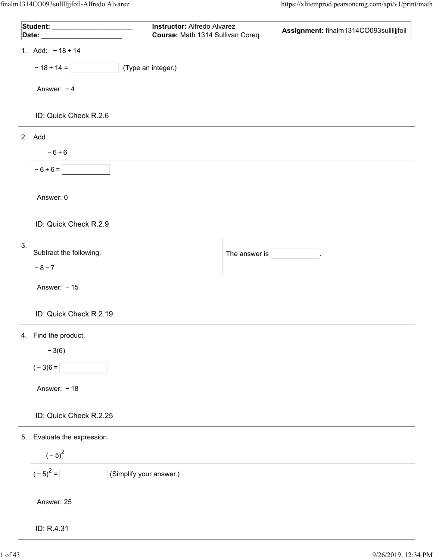| Student: ______________________<br>Date: | <b>Instructor: Alfredo Alvarez</b><br>Course: Math 1314 Sullivan Coreq | Assignment: finalm1314CO093sulllljjfoil |
|------------------------------------------|------------------------------------------------------------------------|-----------------------------------------|
| 1. Add: $-18 + 14$                       |                                                                        |                                         |
| $-18 + 14 =$                             | (Type an integer.)                                                     |                                         |
| Answer: $-4$                             |                                                                        |                                         |
| ID: Quick Check R.2.6                    |                                                                        |                                         |
| 2. Add.                                  |                                                                        |                                         |
| $-6+6$                                   |                                                                        |                                         |
| $-6+6=$                                  |                                                                        |                                         |
| Answer: 0                                |                                                                        |                                         |
| ID: Quick Check R.2.9                    |                                                                        |                                         |
| 3.<br>Subtract the following.            | The answer is                                                          |                                         |
| $-8 - 7$                                 |                                                                        |                                         |
| Answer: $-15$                            |                                                                        |                                         |
| ID: Quick Check R.2.19                   |                                                                        |                                         |
| 4. Find the product.                     |                                                                        |                                         |
| $-3(6)$                                  |                                                                        |                                         |
| $(-3)6 =$                                |                                                                        |                                         |
| Answer: $-18$                            |                                                                        |                                         |
| ID: Quick Check R.2.25                   |                                                                        |                                         |
| 5. Evaluate the expression.              |                                                                        |                                         |
| $(-5)^2$                                 |                                                                        |                                         |
| $(-5)^{2} = \sqrt{25}$                   | (Simplify your answer.)                                                |                                         |
| Answer: 25                               |                                                                        |                                         |
| ID: R.4.31                               |                                                                        |                                         |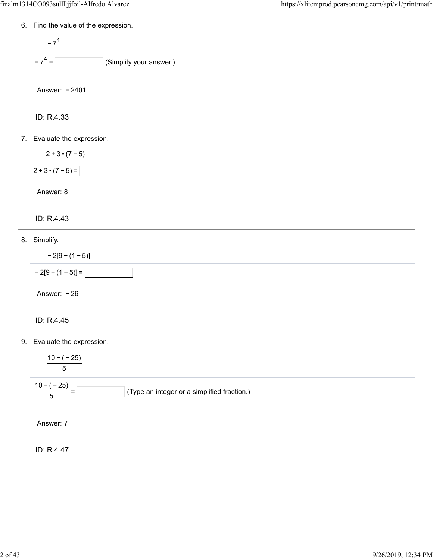$\overline{\phantom{a}}$ 

6.

7. 8. 9. ID: R.4.33 Find the value of the expression. − 74 − 7 (Simplify your answer.) <sup>4</sup> <sup>=</sup> Answer: − 2401 ID: R.4.43 Evaluate the expression. 2+3•( ) 7−5 2+3•( ) 7−5 = Answer: 8 ID: R.4.45 Simplify. − 2[9 − (1 − 5)] − 2[9 − (1 − 5)] = Answer: − 26 ID: R.4.47 Evaluate the expression. 10 − ( − 25) 5 (Type an integer or a simplified fraction.) 10 − ( − 25) <sup>5</sup> <sup>=</sup> Answer: 7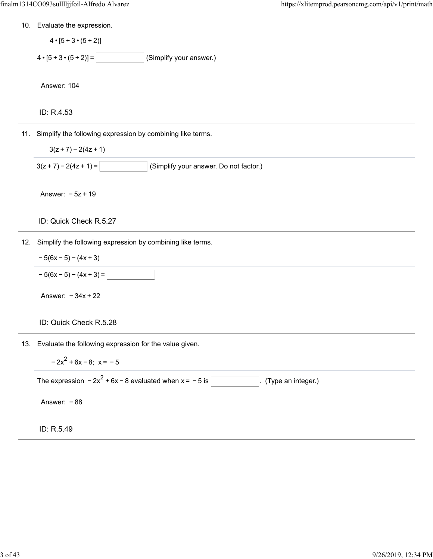10. Evaluate the expression.

$$
4 \cdot [5 + 3 \cdot (5 + 2)]
$$
  
4 \cdot [5 + 3 \cdot (5 + 2)] =   
 (Simplify your answer.)

Answer: 104

ID: R.4.53

11. Simplify the following expression by combining like terms.

 $3(z + 7) - 2(4z + 1)$ 

 $3(z + 7) - 2(4z + 1) =$  (Simplify your answer. Do not factor.)

Answer: − 5z + 19

ID: Quick Check R.5.27

- 12. Simplify the following expression by combining like terms.
	- $-5(6x-5)-(4x+3)$
	- $-5(6x-5)-(4x+3)=$

Answer: − 34x + 22

- ID: Quick Check R.5.28
- 13. Evaluate the following expression for the value given.
	- $-2x^2 + 6x 8$ ;  $x = -5$

The expression  $-2x^2 + 6x - 8$  evaluated when  $x = -5$  is  $\boxed{\qquad}$ . (Type an integer.)

Answer: − 88

ID: R.5.49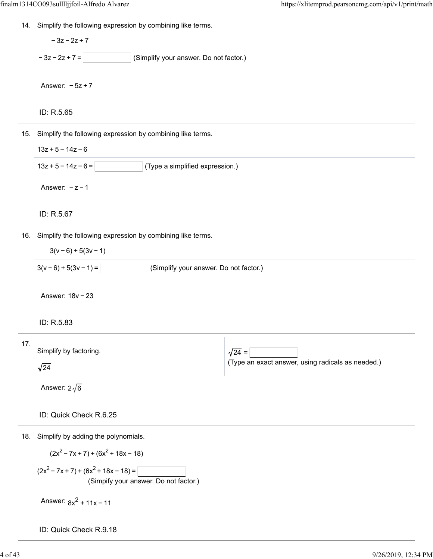14. Simplify the following expression by combining like terms.

15. 16. 17. 18. ID: R.5.65 − 3z − 2z + 7 − 3z − 2z + 7 = (Simplify your answer. Do not factor.) Answer: − 5z + 7 ID: R.5.67 Simplify the following expression by combining like terms. 13z + 5 − 14z − 6 13z + 5 − 14z − 6 = (Type a simplified expression.) Answer: − z − 1 ID: R.5.83 Simplify the following expression by combining like terms. 3(v − 6) + 5(3v − 1) 3(v − 6) + 5(3v − 1) = (Simplify your answer. Do not factor.) Answer: 18v − 23 ID: Quick Check R.6.25 Simplify by factoring. 24 24 = (Type an exact answer, using radicals as needed.) Answer: 2 6 ID: Quick Check R.9.18 Simplify by adding the polynomials. ( x2 x ) (x2 2 − 7 + 7 + 6 + 18 − 18 x ) ( x2 x ) (x2 2 − 7 + 7 + 6 + 18 − 18 = x ) (Simpify your answer. Do not factor.) Answer: 8x + 11x − 11 <sup>2</sup>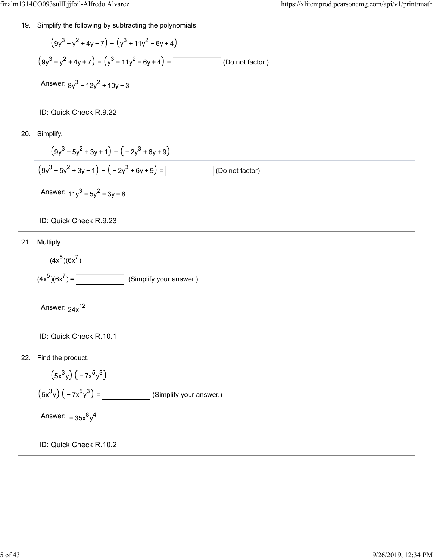19. Simplify the following by subtracting the polynomials.

$$
\frac{(9y^3 - y^2 + 4y + 7) - (y^3 + 11y^2 - 6y + 4)}{(9y^3 - y^2 + 4y + 7) - (y^3 + 11y^2 - 6y + 4)} =
$$
 (Do not factor.)

Answer:  $8y^3 - 12y^2 + 10y + 3$ 

## ID: Quick Check R.9.22

20. Simplify.

$$
(9y3 - 5y2 + 3y + 1) - (-2y3 + 6y + 9)
$$
  

$$
(9y3 - 5y2 + 3y + 1) - (-2y3 + 6y + 9) =
$$
 [Do not factor]  
Answer:  $11y3 - 5y2 - 3y - 8$ 

$$
f_{\rm{max}}(x)
$$

# ID: Quick Check R.9.23

21. Multiply.

$$
\frac{(4x^5)(6x^7)}{(4x^5)(6x^7)} = \boxed{\qquad \qquad}
$$
 (Simplify your answer.)

Answer:  $24x^{12}$ 

## ID: Quick Check R.10.1

22. Find the product.



Answer:  $-35x^8y^4$ 

ID: Quick Check R.10.2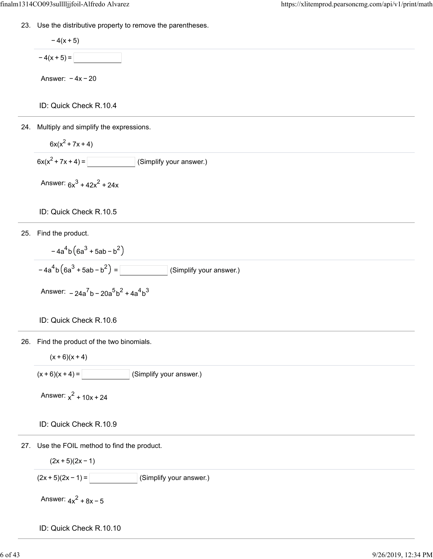

ID: Quick Check R.10.10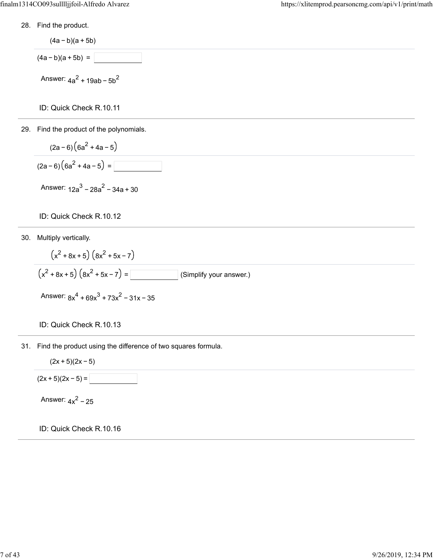28. Find the product.



$$
\frac{(2a-6)\left(6a^2+4a-5\right)}{(2a-6)\left(6a^2+4a-5\right)} =
$$

Answer:  $12a^3 - 28a^2 - 34a + 30$ 

### ID: Quick Check R.10.12

30. Multiply vertically.

$$
\frac{(x^2 + 8x + 5) (8x^2 + 5x - 7)}{(x^2 + 8x + 5) (8x^2 + 5x - 7)} =
$$
 (Simplify your answer.)

Answer:  $8x^4 + 69x^3 + 73x^2 - 31x - 35$ 

### ID: Quick Check R.10.13

31. Find the product using the difference of two squares formula.

 $(2x + 5)(2x - 5)$ 

 $(2x + 5)(2x - 5) =$ 

Answer:  $4x^2 - 25$ 

ID: Quick Check R.10.16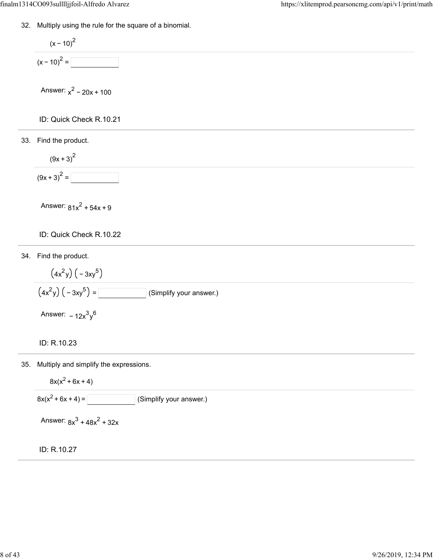32. Multiply using the rule for the square of a binomial.

$$
(x-10)^{2} =
$$
\n
$$
(x-10)^{2} =
$$
\nAnswer:  $x^{2}$  - 20x + 100  
\nID: Quick Check R.10.21  
\nFind the product.  
\n
$$
(9x + 3)^{2}
$$

$$
(9x+3)^2 =
$$

Answer:  $81x^2 + 54x + 9$ 

ID: Quick Check R.10.22

34. Find the product.

33.

$$
\frac{(4x^2y)(-3xy^5)}{(4x^2y)(-3xy^5)} =
$$
 (Simplify your answer.)

Answer:  $-12x^3y^6$ 

ID: R.10.23

35. Multiply and simplify the expressions.

 $8x(x^2 + 6x + 4)$ 

 $8x(x^2 + 6x + 4) =$  (Simplify your answer.)

Answer: 
$$
8x^3 + 48x^2 + 32x
$$

$$
ID: R.10.27
$$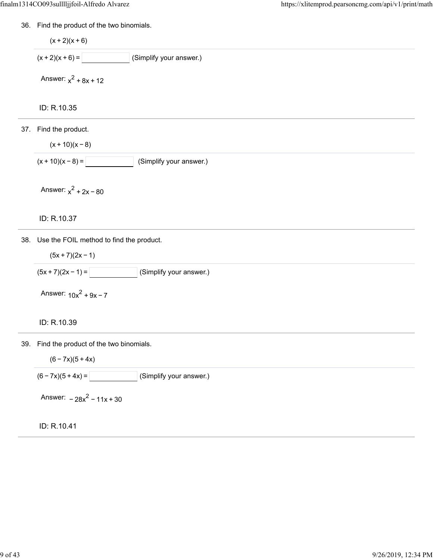36. Find the product of the two binomials.

37. Find the product. 38. Use the FOIL method to find the product. 39. Find the product of the two binomials. ID: R.10.35  $(x + 2)(x + 6)$  $(x + 2)(x + 6) =$  (Simplify your answer.) Answer:  $x^2 + 8x + 12$ ID: R.10.37  $(x + 10)(x - 8)$  $(x + 10)(x - 8) =$  (Simplify your answer.) Answer:  $x^2 + 2x - 80$ ID: R.10.39  $(5x + 7)(2x - 1)$  $(5x + 7)(2x - 1) =$  (Simplify your answer.) Answer:  $10x^2 + 9x - 7$  $(6 - 7x)(5 + 4x)$  $(6 - 7x)(5 + 4x) =$  (Simplify your answer.) Answer:  $-28x^2 - 11x + 30$ 

ID: R.10.41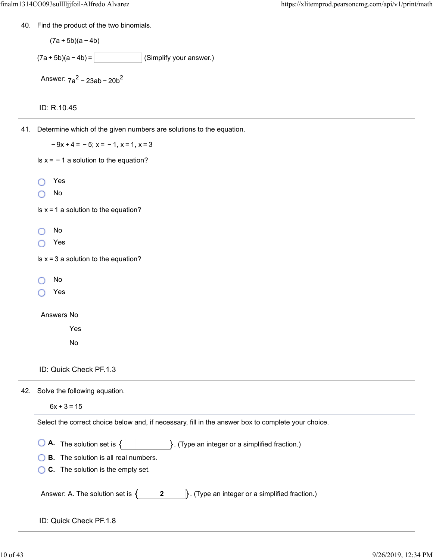40. Find the product of the two binomials.

(7a + 5b)(a − 4b)  $(7a + 5b)(a - 4b) =$  (Simplify your answer.) Answer:  $7a^2 - 23ab - 20b^2$ ID: R.10.45 41. Determine which of the given numbers are solutions to the equation.  $-9x + 4 = -5$ ;  $x = -1$ ,  $x = 1$ ,  $x = 3$ Is  $x = -1$  a solution to the equation? Yes ∩ No Is  $x = 1$  a solution to the equation? No Yes Is  $x = 3$  a solution to the equation? No Yes Answers No Yes No ID: Quick Check PF.1.3 42. Solve the following equation.  $6x + 3 = 15$ Select the correct choice below and, if necessary, fill in the answer box to complete your choice. **A.** The solution set is  $\{$   $\}$ . (Type an integer or a simplified fraction.) **B.** The solution is all real numbers. **C.** The solution is the empty set. Answer: A. The solution set is  $\{ \begin{matrix} 2 \\ 2 \end{matrix} \}$ . (Type an integer or a simplified fraction.) ID: Quick Check PF.1.8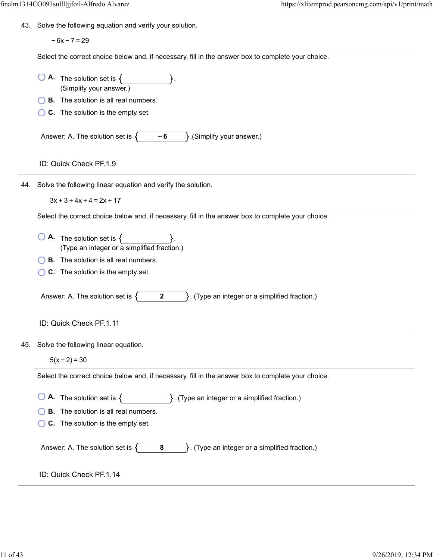43. Solve the following equation and verify your solution.

 $-6x - 7 = 29$ 

Select the correct choice below and, if necessary, fill in the answer box to complete your choice.

|     | <b>A.</b> The solution set is $\{$<br>(Simplify your answer.)                                             |
|-----|-----------------------------------------------------------------------------------------------------------|
|     | <b>B.</b> The solution is all real numbers.                                                               |
|     | C. The solution is the empty set.                                                                         |
|     | $\left\{ \right\}$ . (Simplify your answer.)<br>Answer: A. The solution set is $\{$<br>$-6$               |
|     | ID: Quick Check PF.1.9                                                                                    |
| 44. | Solve the following linear equation and verify the solution.                                              |
|     | $3x + 3 + 4x + 4 = 2x + 17$                                                                               |
|     | Select the correct choice below and, if necessary, fill in the answer box to complete your choice.        |
|     | <b>A.</b> The solution set is $\{$<br>(Type an integer or a simplified fraction.)                         |
|     | <b>B.</b> The solution is all real numbers.                                                               |
|     | C. The solution is the empty set.                                                                         |
|     | $\}$ . (Type an integer or a simplified fraction.)<br>Answer: A. The solution set is $\{$<br>$\mathbf{2}$ |
|     | ID: Quick Check PF.1.11                                                                                   |
| 45. | Solve the following linear equation.                                                                      |
|     | $5(x - 2) = 30$                                                                                           |
|     | Select the correct choice below and, if necessary, fill in the answer box to complete your choice.        |
|     | <b>A.</b> The solution set is $\{$<br>$\}$ . (Type an integer or a simplified fraction.)                  |
|     | <b>B.</b> The solution is all real numbers.                                                               |
|     | C. The solution is the empty set.                                                                         |
|     | $\}$ . (Type an integer or a simplified fraction.)<br>Answer: A. The solution set is $\{$<br>8            |
|     | ID: Quick Check PF.1.14                                                                                   |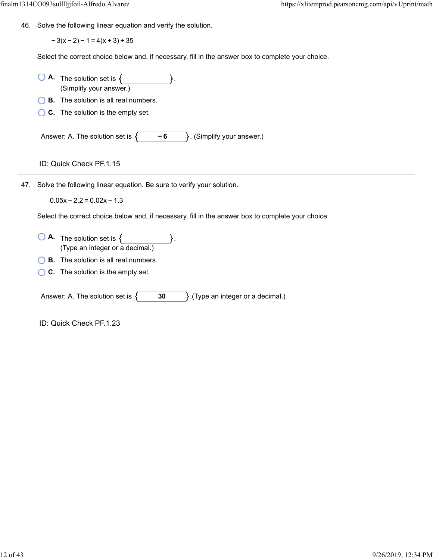46. Solve the following linear equation and verify the solution.

 $-3(x-2)-1=4(x+3)+35$ 

Select the correct choice below and, if necessary, fill in the answer box to complete your choice.

| A. The solution set is<br>(Simplify your answer.)                                                  |
|----------------------------------------------------------------------------------------------------|
| <b>B.</b> The solution is all real numbers.                                                        |
| <b>C.</b> The solution is the empty set.                                                           |
| Answer: A. The solution set is $\{$<br>$\left\{ \cdot \right\}$ . (Simplify your answer.)<br>- 6   |
| ID: Quick Check PF.1.15                                                                            |
| 47. Solve the following linear equation. Be sure to verify your solution.                          |
| $0.05x - 2.2 = 0.02x - 1.3$                                                                        |
| Select the correct choice below and, if necessary, fill in the answer box to complete your choice. |

- **A.** The solution set is  $\{$ . (Type an integer or a decimal.)
- **B.** The solution is all real numbers.
- **C.** The solution is the empty set.

Answer: A. The solution set is  $\{ 30 \}$ . (Type an integer or a decimal.)

ID: Quick Check PF.1.23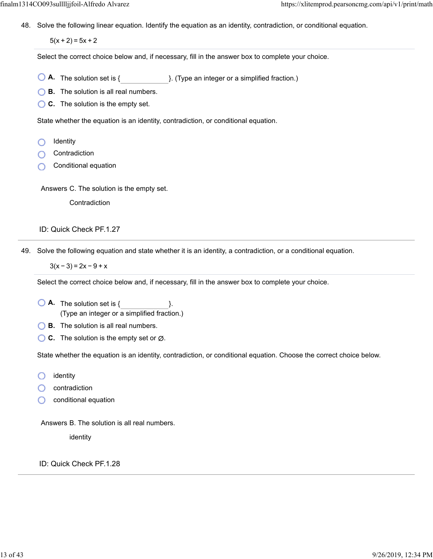48. Solve the following linear equation. Identify the equation as an identity, contradiction, or conditional equation.

 $5(x + 2) = 5x + 2$ 

Select the correct choice below and, if necessary, fill in the answer box to complete your choice.

- **A.** The solution set is {  $\qquad \qquad$  }. (Type an integer or a simplified fraction.)
- **B.** The solution is all real numbers.
- **C.** The solution is the empty set.

State whether the equation is an identity, contradiction, or conditional equation.

- Identity  $\circ$
- Contradiction
- Conditional equation ∩

Answers C. The solution is the empty set.

Contradiction

### ID: Quick Check PF.1.27

49. Solve the following equation and state whether it is an identity, a contradiction, or a conditional equation.

 $3(x-3) = 2x - 9 + x$ 

Select the correct choice below and, if necessary, fill in the answer box to complete your choice.

- **A.** The solution set is  $\{$ .  $\}$ . (Type an integer or a simplified fraction.)
- **B.** The solution is all real numbers.
- **C.** The solution is the empty set or  $\emptyset$ .

State whether the equation is an identity, contradiction, or conditional equation. Choose the correct choice below.

- identity  $\left( \right)$
- contradiction
- conditional equation

Answers B. The solution is all real numbers.

identity

ID: Quick Check PF.1.28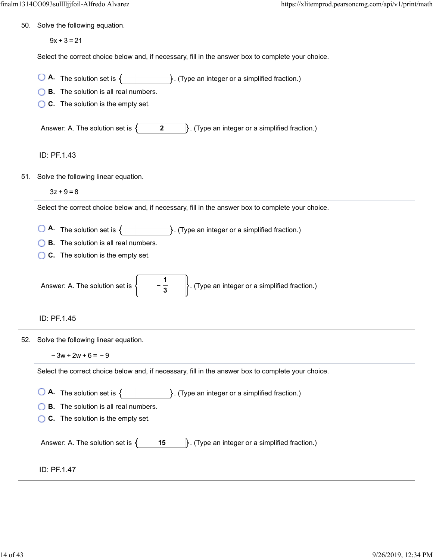|  | 50. Solve the following equation. |  |
|--|-----------------------------------|--|
|  |                                   |  |

|     | $9x + 3 = 21$                                                                                                |
|-----|--------------------------------------------------------------------------------------------------------------|
|     | Select the correct choice below and, if necessary, fill in the answer box to complete your choice.           |
|     | <b>O</b> A. The solution set is $\{$ $\}$ . (Type an integer or a simplified fraction.)                      |
|     | <b>B.</b> The solution is all real numbers.                                                                  |
|     | C. The solution is the empty set.                                                                            |
|     | Answer: A. The solution set is $\{$<br>$\}$ . (Type an integer or a simplified fraction.)<br>$\mathbf{2}$    |
|     | ID: PF.1.43                                                                                                  |
| 51. | Solve the following linear equation.                                                                         |
|     | $3z + 9 = 8$                                                                                                 |
|     | Select the correct choice below and, if necessary, fill in the answer box to complete your choice.           |
|     | <b>O</b> A. The solution set is $\{$ $\}$ . (Type an integer or a simplified fraction.)                      |
|     | <b>B.</b> The solution is all real numbers.                                                                  |
|     | C. The solution is the empty set.                                                                            |
|     | $\bigg\}$ . (Type an integer or a simplified fraction.)<br>Answer: A. The solution set is $\left\{ \right\}$ |
|     | ID: PF.1.45                                                                                                  |
|     | 52. Solve the following linear equation.                                                                     |
|     | $-3w + 2w + 6 = -9$                                                                                          |
|     | Select the correct choice below and, if necessary, fill in the answer box to complete your choice.           |
|     | $\bigcirc$ <b>A</b> . The solution set is $\{$<br>$\}$ . (Type an integer or a simplified fraction.)         |
|     | <b>B.</b> The solution is all real numbers.                                                                  |
|     | C. The solution is the empty set.                                                                            |
|     | $\}$ . (Type an integer or a simplified fraction.)<br>Answer: A. The solution set is $\{$<br>15              |
|     | ID: PF.1.47                                                                                                  |
|     |                                                                                                              |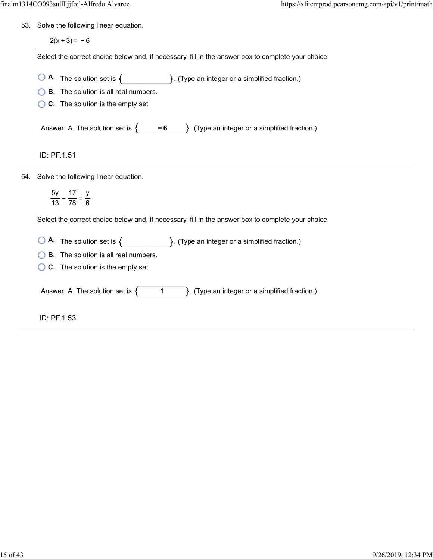53. Solve the following linear equation.

 $2(x + 3) = -6$ 

Select the correct choice below and, if necessary, fill in the answer box to complete your choice.

- **A.** The solution set is  $\{$   $\}$ . (Type an integer or a simplified fraction.)
- **B.** The solution is all real numbers.
- **C.** The solution is the empty set.

Answer: A. The solution set is  $\{\nightharpoonup 6\}$ . (Type an integer or a simplified fraction.)

ID: PF.1.51

54. Solve the following linear equation.

 $\frac{5y}{13} - \frac{17}{78} =$ 17 78 y 6

Select the correct choice below and, if necessary, fill in the answer box to complete your choice.

**A.** The solution set is  $\{$   $\}$ . (Type an integer or a simplified fraction.)

**B.** The solution is all real numbers.

**C.** The solution is the empty set.

Answer: A. The solution set is  $\begin{Bmatrix} 1 & 1 \end{Bmatrix}$ . (Type an integer or a simplified fraction.)

ID: PF.1.53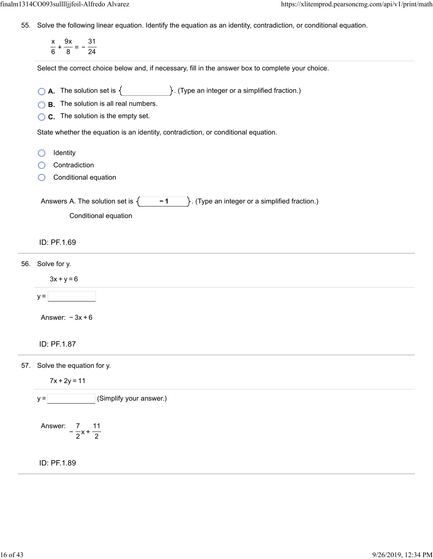55. Solve the following linear equation. Identify the equation as an identity, contradiction, or conditional equation.

+ x 6  $\frac{9x}{8} = -\frac{31}{24}$ 

Select the correct choice below and, if necessary, fill in the answer box to complete your choice.

- **A.** The solution set is  $\{$   $\}$ . (Type an integer or a simplified fraction.)
- **B.** The solution is all real numbers.
- **C.** The solution is the empty set.

State whether the equation is an identity, contradiction, or conditional equation.

- **Identity** ∩
- Contradiction ∩
- ∩ Conditional equation

| Answers A. The solution set is $\{$ |  | $\ket{\}$ . (Type an integer or a simplified fraction.) |
|-------------------------------------|--|---------------------------------------------------------|
|-------------------------------------|--|---------------------------------------------------------|

Conditional equation

#### ID: PF.1.69

56. Solve for y.



ID: PF.1.87

57. Solve the equation for y.

 $7x + 2y = 11$ 

 $y =$  (Simplify your answer.)

Answer:  $-\frac{1}{2}x +$ 7 2 11 2

ID: PF.1.89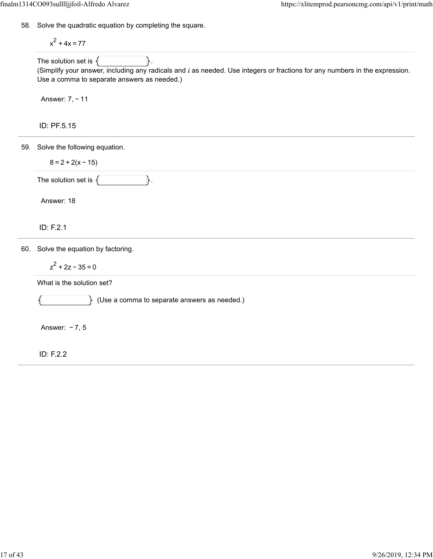58. Solve the quadratic equation by completing the square.

$$
x^2 + 4x = 77
$$

The solution set is  $\{$ 

(Simplify your answer, including any radicals and  $i$  as needed. Use integers or fractions for any numbers in the expression. Use a comma to separate answers as needed.)

Answer: 7, − 11

ID: PF.5.15

59. Solve the following equation.

 $8 = 2 + 2(x - 15)$ 

The solution set is  $\{\vert$   $\vert$  .

Answer: 18

ID: F.2.1

60. Solve the equation by factoring.

 $z^{2}$  + 2z – 35 = 0

What is the solution set?

(Use a comma to separate answers as needed.)

Answer: − 7, 5

ID: F.2.2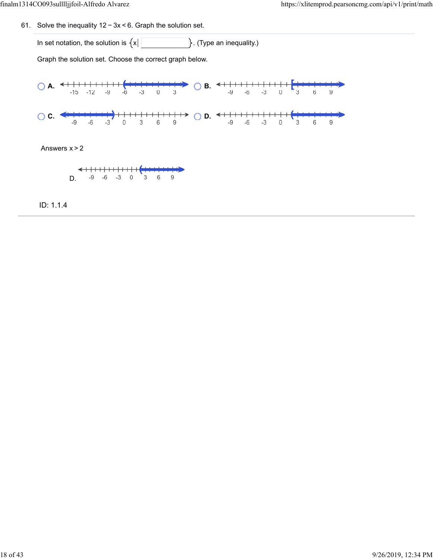61. Solve the inequality  $12 - 3x < 6$ . Graph the solution set.

In set notation, the solution is  $\{x \mid \Box$  (Type an inequality.)

Graph the solution set. Choose the correct graph below.



Answers x > 2



ID: 1.1.4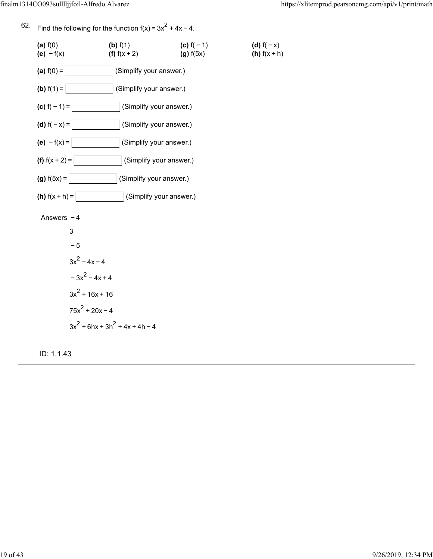62.

Find the following for the function  $f(x) = 3x^2 + 4x - 4$ . **(a)**  $f(0)$  **(b)**  $f(1)$  **(c)**  $f(-1)$  **(d)**  $f(-x)$ **(e)**  $-f(x)$  **(f)**  $f(x + 2)$  **(g)**  $f(5x)$  **(h)**  $f(x + h)$ **(a)**  $f(0) =$   $\vert$  (Simplify your answer.) **(b)**  $f(1) =$   $\begin{bmatrix} \text{Simplify your answer.} \end{bmatrix}$ **(c)**  $f(-1) =$  (Simplify your answer.) **(d)**  $f(-x) =$  (Simplify your answer.) **(e)**  $-f(x) =$  (Simplify your answer.) **(f)**  $f(x + 2) =$   $\boxed{\qquad}$  (Simplify your answer.) **(g)**  $f(5x) =$   $\boxed{\qquad}$  (Simplify your answer.) **(h)**  $f(x + h) =$  (Simplify your answer.) Answers − 4 3 − 5  $3x^2 - 4x - 4$  $-3x^2 - 4x + 4$  $3x^2 + 16x + 16$  $75x^2 + 20x - 4$  $3x^{2}$  + 6hx + 3h<sup>2</sup> + 4x + 4h – 4

ID: 1.1.43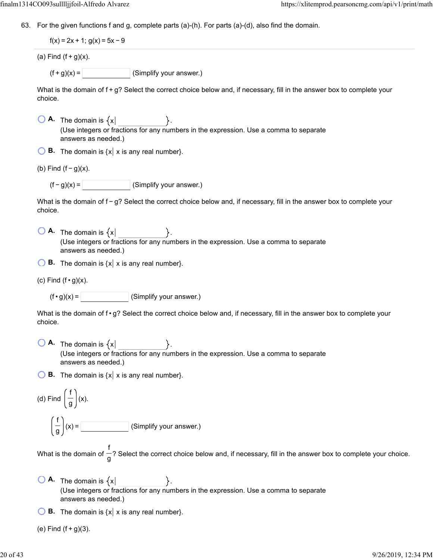63. For the given functions f and g, complete parts (a)-(h). For parts (a)-(d), also find the domain.

 $f(x) = 2x + 1$ ;  $g(x) = 5x - 9$ 

(a) Find  $(f+g)(x)$ .

 $(f + g)(x) =$  (Simplify your answer.)

What is the domain of f +  $g$ ? Select the correct choice below and, if necessary, fill in the answer box to complete your choice.

 $\overline{O}$  **A.** The domain is  $\{x\}$ (Use integers or fractions for any numbers in the expression. Use a comma to separate answers as needed.)

 $\bigcirc$  **B.** The domain is  $\{x \mid x \text{ is any real number}\}.$ 

(b) Find  $(f - g)(x)$ .

 $(f - g)(x) =$  (Simplify your answer.)

What is the domain of f−g? Select the correct choice below and, if necessary, fill in the answer box to complete your choice.

 $\bigcirc$  **A.** The domain is  $\{x\}$ (Use integers or fractions for any numbers in the expression. Use a comma to separate answers as needed.)

**B.** The domain is  $\{x \mid x \text{ is any real number}\}.$ 

(c) Find  $(f \cdot g)(x)$ .

 $(f \cdot g)(x) =$  (Simplify your answer.)

What is the domain of f  $\cdot$  g? Select the correct choice below and, if necessary, fill in the answer box to complete your choice.

 $\overline{A}$ . The domain is  $\{x\}$ (Use integers or fractions for any numbers in the expression. Use a comma to separate answers as needed.)

**B.** The domain is  $\{x \mid x \text{ is any real number}\}.$ 

(d) Find 
$$
\left(\frac{f}{g}\right)(x)
$$
.  

$$
\left(\frac{f}{g}\right)(x) = \boxed{\qquad \qquad}
$$
 (Simplify your answer.)

What is the domain of  $-?$  Select the correct choice below and, if necessary, fill in the answer box to complete your choice. f g

 $\bigcirc$  **A.** The domain is  $\{x\}$ (Use integers or fractions for any numbers in the expression. Use a comma to separate answers as needed.)

 $\bigcirc$  **B.** The domain is  $\{x \mid x \text{ is any real number}\}.$ 

(e) Find  $(f + q)(3)$ .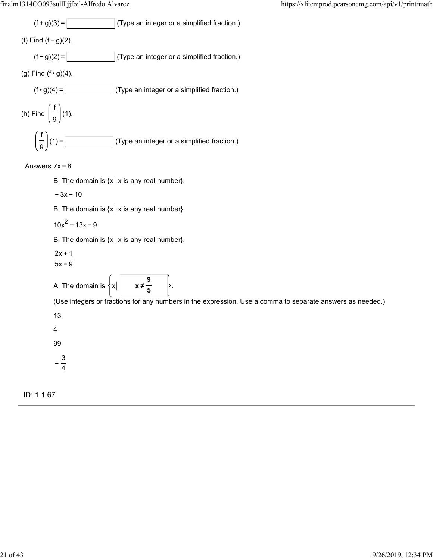

#### Answers 7x − 8

- B. The domain is  $\{x \mid x \text{ is any real number}\}.$
- − 3x + 10

B. The domain is  $\{x \mid x \text{ is any real number}\}.$ 

 $10x^2 - 13x - 9$ 

B. The domain is  $\{x \mid x \text{ is any real number} \}$ .

- $2x + 1$
- $5x 9$

A. The domain is  $\{x\}$ **9 5**

(Use integers or fractions for any numbers in the expression. Use a comma to separate answers as needed.)

13

4

99

 $-\frac{3}{4}$ 

ID: 1.1.67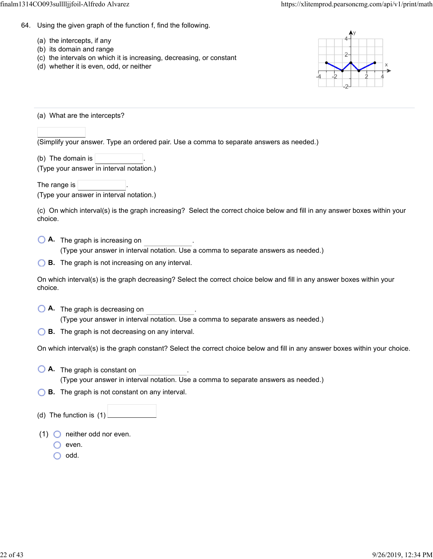- 64. Using the given graph of the function f, find the following.
	- (a) the intercepts, if any
	- (b) its domain and range
	- (c) the intervals on which it is increasing, decreasing, or constant
	- (d) whether it is even, odd, or neither



(a) What are the intercepts?

(Simplify your answer. Type an ordered pair. Use a comma to separate answers as needed.)

(b) The domain is  $\vert$ 

(Type your answer in interval notation.)

The range is  $|$ 

(Type your answer in interval notation.)

(c) On which interval(s) is the graph increasing? Select the correct choice below and fill in any answer boxes within your choice.

**A.** The graph is increasing on .

(Type your answer in interval notation. Use a comma to separate answers as needed.)

**B.** The graph is not increasing on any interval.

On which interval(s) is the graph decreasing? Select the correct choice below and fill in any answer boxes within your choice.

**A.** The graph is decreasing on .

(Type your answer in interval notation. Use a comma to separate answers as needed.)

**B.** The graph is not decreasing on any interval.

On which interval(s) is the graph constant? Select the correct choice below and fill in any answer boxes within your choice.

- **A.** The graph is constant on . (Type your answer in interval notation. Use a comma to separate answers as needed.)
- **B.** The graph is not constant on any interval.
- (d) The function is (1)
- $(1)$   $\bigcirc$  neither odd nor even.
	- $\bigcirc$  even.
	- $\bigcirc$  odd.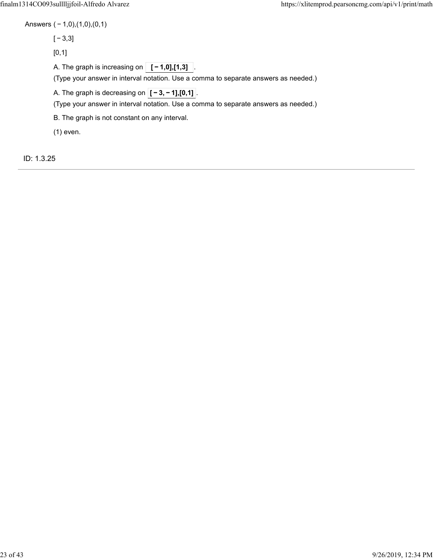Answers ( − 1,0),(1,0),(0,1)

[ − 3,3]

 $[0,1]$ 

A. The graph is increasing on  $\boxed{[-1,0],[1,3]}$ 

(Type your answer in interval notation. Use a comma to separate answers as needed.)

A. The graph is decreasing on  $\boxed{[-3, -1],[0,1]}$ .

(Type your answer in interval notation. Use a comma to separate answers as needed.)

B. The graph is not constant on any interval.

(1) even.

ID: 1.3.25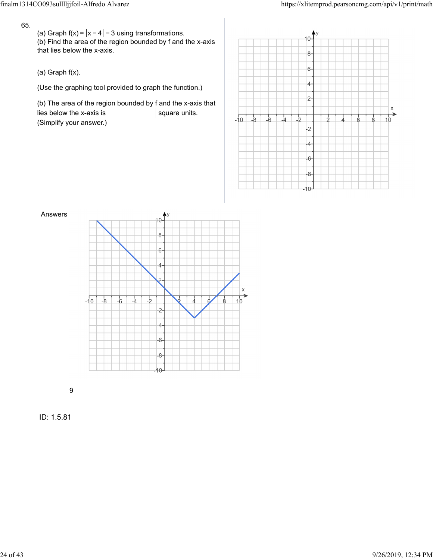65.

(a) Graph  $f(x) = |x-4| - 3$  using transformations. (b) Find the area of the region bounded by f and the x-axis that lies below the x-axis.

(a) Graph f(x).

(Use the graphing tool provided to graph the function.)

(b) The area of the region bounded by f and the x-axis that

lies below the x-axis is  $\vert$  square units. (Simplify your answer.)





9

ID: 1.5.81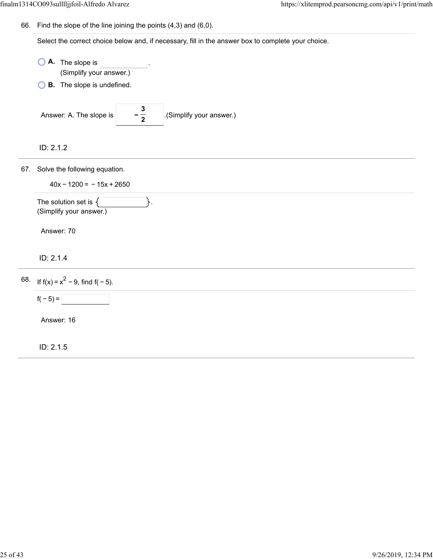66. Find the slope of the line joining the points  $(4,3)$  and  $(6,0)$ .

Select the correct choice below and, if necessary, fill in the answer box to complete your choice.

67. Solve the following equation. 68. ID: 2.1.2 **A.** The slope is . (Simplify your answer.) **B.** The slope is undefined. Answer: A. The slope is  $\begin{vmatrix} 3 \\ -\frac{3}{2} \end{vmatrix}$ **<sup>2</sup>** (Simplify your answer.) ID: 2.1.4 40x − 1200 = − 15x + 2650 The solution set is  $\{\vert$   $\vert$  . (Simplify your answer.) Answer: 70 ID: 2.1.5 If  $f(x) = x^2 - 9$ , find  $f(-5)$ .  $f(-5) =$ Answer: 16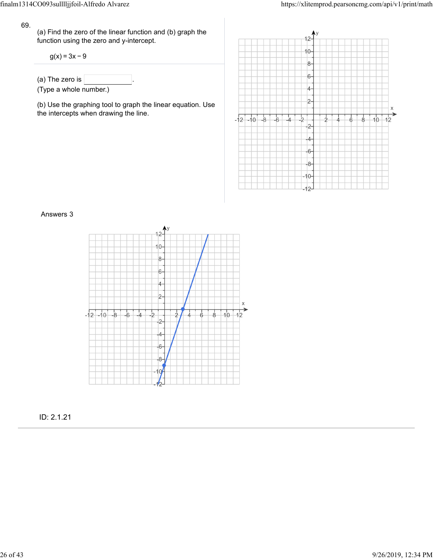#### 69.

(a) Find the zero of the linear function and (b) graph the function using the zero and y-intercept.

$$
g(x) = 3x - 9
$$

(a) The zero is 
$$
\boxed{\phantom{a}}
$$
. (Type a whole number.)

(b) Use the graphing tool to graph the linear equation. Use the intercepts when drawing the line.



#### Answers 3



# ID: 2.1.21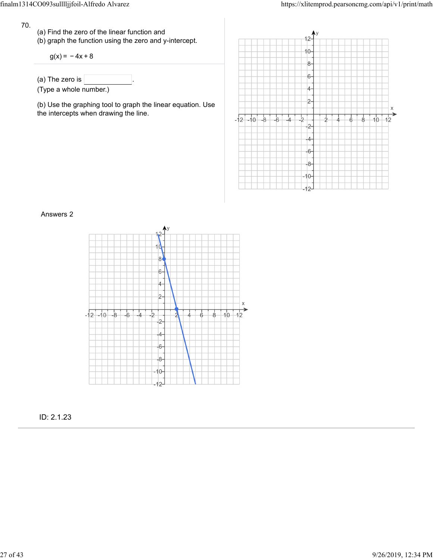#### 70.

- (a) Find the zero of the linear function and
- (b) graph the function using the zero and y-intercept.

 $g(x) = -4x + 8$ 

- (a) The zero is
- (Type a whole number.)

(b) Use the graphing tool to graph the linear equation. Use the intercepts when drawing the line.



#### Answers 2



# ID: 2.1.23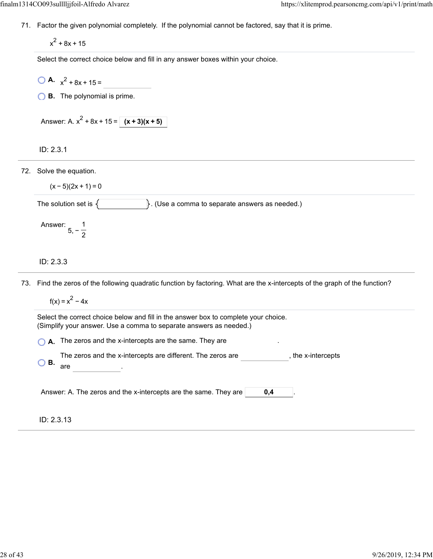71. Factor the given polynomial completely. If the polynomial cannot be factored, say that it is prime.

 $x^2 + 8x + 15$ 

Select the correct choice below and fill in any answer boxes within your choice.

- $A$   $x^2 + 8x + 15 =$
- **B.** The polynomial is prime.

Answer: A. 
$$
x^2 + 8x + 15 =
$$
  $(x + 3)(x + 5)$ 

ID: 2.3.1

- 72. Solve the equation.
	- $(x 5)(2x + 1) = 0$

The solution set is  $\left\{ \left\vert \right\rangle \right\}$ . (Use a comma to separate answers as needed.)

Answer: 5, − 1 2

## ID: 2.3.3

73. Find the zeros of the following quadratic function by factoring. What are the x-intercepts of the graph of the function?

 $f(x) = x^2 - 4x$ 

|                  | Select the correct choice below and fill in the answer box to complete your choice.<br>(Simplify your answer. Use a comma to separate answers as needed.) |                    |
|------------------|-----------------------------------------------------------------------------------------------------------------------------------------------------------|--------------------|
| А.               | The zeros and the x-intercepts are the same. They are                                                                                                     |                    |
| В.<br>$\bigcirc$ | The zeros and the x-intercepts are different. The zeros are<br>are                                                                                        | , the x-intercepts |
|                  | Answer: A. The zeros and the x-intercepts are the same. They are<br>0.4                                                                                   |                    |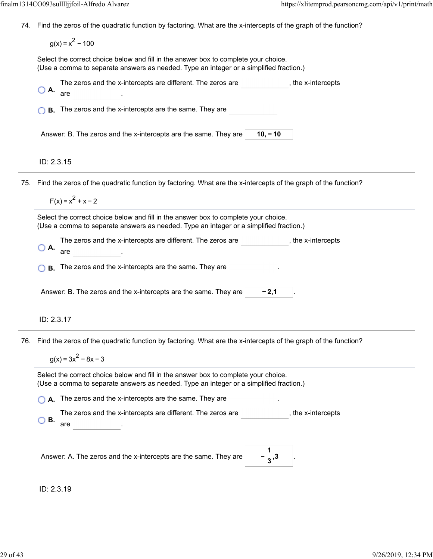74. Find the zeros of the quadratic function by factoring. What are the x-intercepts of the graph of the function?

75. Find the zeros of the quadratic function by factoring. What are the x-intercepts of the graph of the function? 76. Find the zeros of the quadratic function by factoring. What are the x-intercepts of the graph of the function? ID: 2.3.15  $q(x) = x^2 - 100$ Select the correct choice below and fill in the answer box to complete your choice. (Use a comma to separate answers as needed. Type an integer or a simplified fraction.) **A.** The zeros and the x-intercepts are different. The zeros are  $\qquad \qquad$ , the x-intercepts are **B.** The zeros and the x-intercepts are the same. They are Answer: B. The zeros and the x-intercepts are the same. They are | **10, −10** ID: 2.3.17  $F(x) = x^2 + x - 2$ Select the correct choice below and fill in the answer box to complete your choice. (Use a comma to separate answers as needed. Type an integer or a simplified fraction.) **A.** The zeros and the x-intercepts are different. The zeros are  $\blacksquare$ , the x-intercepts are **B.** The zeros and the x-intercepts are the same. They are Answer: B. The zeros and the x-intercepts are the same. They are  $\vert$  **−2,1**  $g(x) = 3x^2 - 8x - 3$ Select the correct choice below and fill in the answer box to complete your choice. (Use a comma to separate answers as needed. Type an integer or a simplified fraction.) **A.** The zeros and the x-intercepts are the same. They are **B.** The zeros and the x-intercepts are different. The zeros are  $\qquad \qquad$ , the x-intercepts are Answer: A. The zeros and the x-intercepts are the same. They are **1**  $\frac{1}{3}$ ,3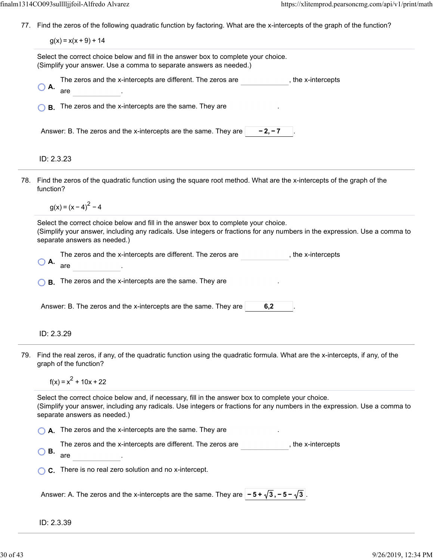77. Find the zeros of the following quadratic function by factoring. What are the x-intercepts of the graph of the function?

| Select the correct choice below and fill in the answer box to complete your choice.<br>(Simplify your answer. Use a comma to separate answers as needed.)                                                                                         |
|---------------------------------------------------------------------------------------------------------------------------------------------------------------------------------------------------------------------------------------------------|
| The zeros and the x-intercepts are different. The zeros are<br>, the x-intercepts<br>O A.<br>are                                                                                                                                                  |
| <b>B.</b> The zeros and the x-intercepts are the same. They are                                                                                                                                                                                   |
| Answer: B. The zeros and the x-intercepts are the same. They are<br>$-2, -7$                                                                                                                                                                      |
| ID: 2.3.23                                                                                                                                                                                                                                        |
| 78. Find the zeros of the quadratic function using the square root method. What are the x-intercepts of the graph of the<br>function?                                                                                                             |
| $g(x) = (x-4)^{2} - 4$                                                                                                                                                                                                                            |
| Select the correct choice below and fill in the answer box to complete your choice.<br>(Simplify your answer, including any radicals. Use integers or fractions for any numbers in the expression. Use a comma to<br>separate answers as needed.) |
| The zeros and the x-intercepts are different. The zeros are<br>, the x-intercepts<br>А.<br>are                                                                                                                                                    |
|                                                                                                                                                                                                                                                   |
| <b>B.</b> The zeros and the x-intercepts are the same. They are                                                                                                                                                                                   |
| Answer: B. The zeros and the x-intercepts are the same. They are<br>6,2                                                                                                                                                                           |
| ID: 2.3.29                                                                                                                                                                                                                                        |
| 79. Find the real zeros, if any, of the quadratic function using the quadratic formula. What are the x-intercepts, if any, of the<br>graph of the function?                                                                                       |

separate answers as needed.)

**A.** The zeros and the x-intercepts are the same. They are

The zeros and the x-intercepts are different. The zeros are , the x-intercepts

- **B.** are
- **C.** There is no real zero solution and no x-intercept.

Answer: A. The zeros and the x-intercepts are the same. They are  $\left[-5+\sqrt{3},-5-\sqrt{3}\right]$ .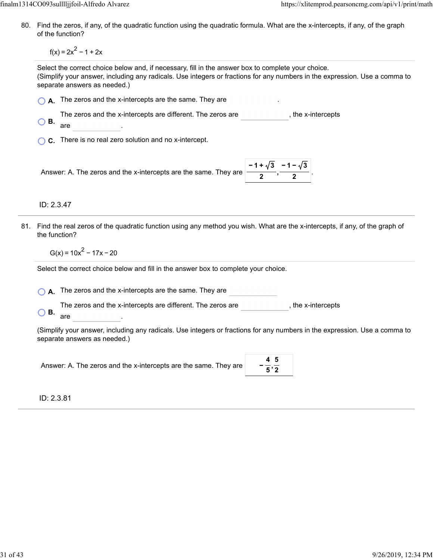80. Find the zeros, if any, of the quadratic function using the quadratic formula. What are the x-intercepts, if any, of the graph of the function?

 $f(x) = 2x^2 - 1 + 2x$ 

Select the correct choice below and, if necessary, fill in the answer box to complete your choice. (Simplify your answer, including any radicals. Use integers or fractions for any numbers in the expression. Use a comma to separate answers as needed.)

|  | $\bigcirc$ A. The zeros and the x-intercepts are the same. They are |  |
|--|---------------------------------------------------------------------|--|
|--|---------------------------------------------------------------------|--|

The zeros and the x-intercepts are different. The zeros are , the x-intercepts

- **B.** are
- **C.** There is no real zero solution and no x-intercept.

Answer: A. The zeros and the x-intercepts are the same. They are **2**

ID: 2.3.47

- 81. Find the real zeros of the quadratic function using any method you wish. What are the x-intercepts, if any, of the graph of the function?
	- $G(x) = 10x^{2} 17x 20$

Select the correct choice below and fill in the answer box to complete your choice.

**A.** The zeros and the x-intercepts are the same. They are

The zeros and the x-intercepts are different. The zeros are , the x-intercepts

**B.** are

(Simplify your answer, including any radicals. Use integers or fractions for any numbers in the expression. Use a comma to separate answers as needed.)

Answer: A. The zeros and the x-intercepts are the same. They are

|     | 45 |  |
|-----|----|--|
| 5'2 |    |  |

**−1− 3 2**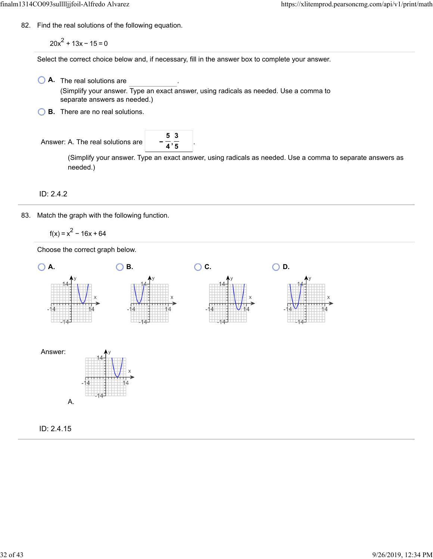82. Find the real solutions of the following equation.

 $20x<sup>2</sup> + 13x - 15 = 0$ 

Select the correct choice below and, if necessary, fill in the answer box to complete your answer.

- **A.** The real solutions are . (Simplify your answer. Type an exact answer, using radicals as needed. Use a comma to separate answers as needed.)
- **B.** There are no real solutions.

Answer: A. The real solutions are **5 3 4 5**

> (Simplify your answer. Type an exact answer, using radicals as needed. Use a comma to separate answers as needed.)

## ID: 2.4.2

83. Match the graph with the following function.

 $f(x) = x^2 - 16x + 64$ 

Choose the correct graph below.

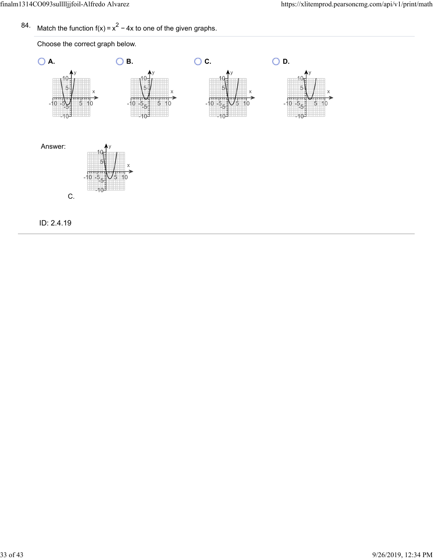84. Match the function  $f(x) = x^2 - 4x$  to one of the given graphs.

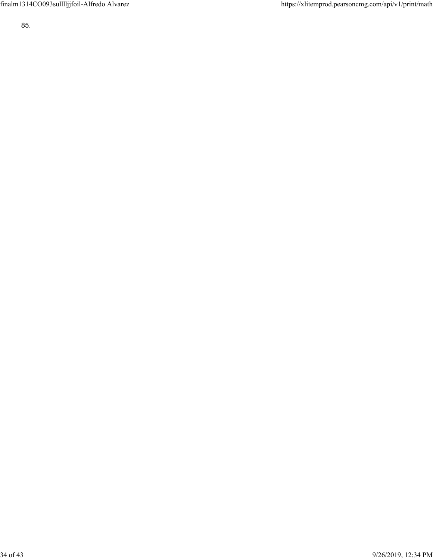85.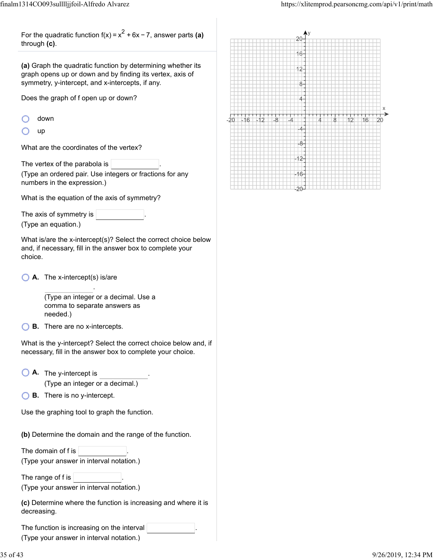For the quadratic function f(x) =  $x^2$  + 6x − 7, answer parts **(a)** through **(c)**.

**(a)** Graph the quadratic function by determining whether its graph opens up or down and by finding its vertex, axis of symmetry, y-intercept, and x-intercepts, if any.

Does the graph of f open up or down?

up

What are the coordinates of the vertex?

The vertex of the parabola is

(Type an ordered pair. Use integers or fractions for any numbers in the expression.)

What is the equation of the axis of symmetry?

The axis of symmetry is (Type an equation.)

What is/are the x-intercept(s)? Select the correct choice below and, if necessary, fill in the answer box to complete your choice.

**A.** The x-intercept(s) is/are

(Type an integer or a decimal. Use a comma to separate answers as needed.)

.

**B.** There are no x-intercepts.

What is the y-intercept? Select the correct choice below and, if necessary, fill in the answer box to complete your choice.

- **A.** The y-intercept is . (Type an integer or a decimal.)
- **B.** There is no y-intercept.

Use the graphing tool to graph the function.

**(b)** Determine the domain and the range of the function.

The domain of f is (Type your answer in interval notation.)

The range of f is

(Type your answer in interval notation.)

**(c)** Determine where the function is increasing and where it is decreasing.

The function is increasing on the interval .

(Type your answer in interval notation.)

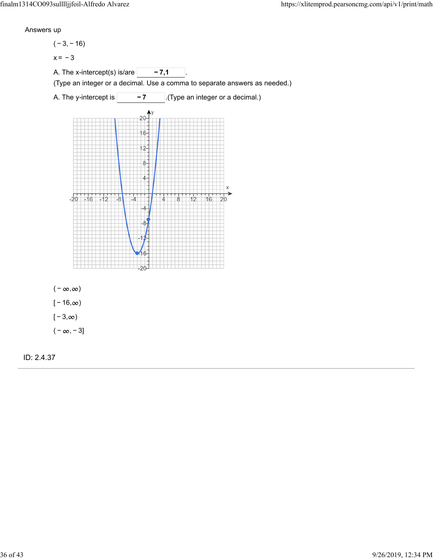Answers up

 $(-3, -16)$ 

 $x = -3$ 

A. The x-intercept(s) is/are  $\boxed{\phantom{000}-7,1}$ 

(Type an integer or a decimal. Use a comma to separate answers as needed.)





| $(-\infty,\infty)$ |
|--------------------|
| $[-16, \infty)$    |
| $[-3, \infty)$     |
| $(-\infty, -3]$    |

ID: 2.4.37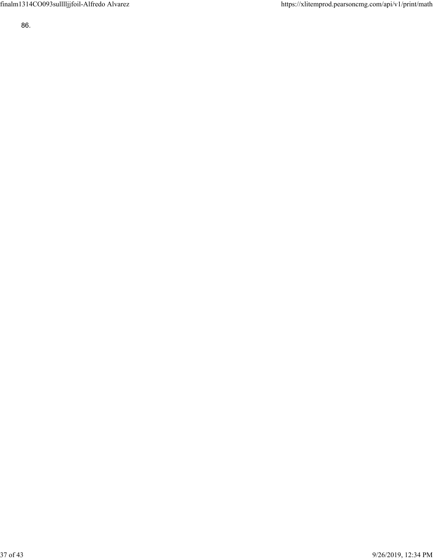86.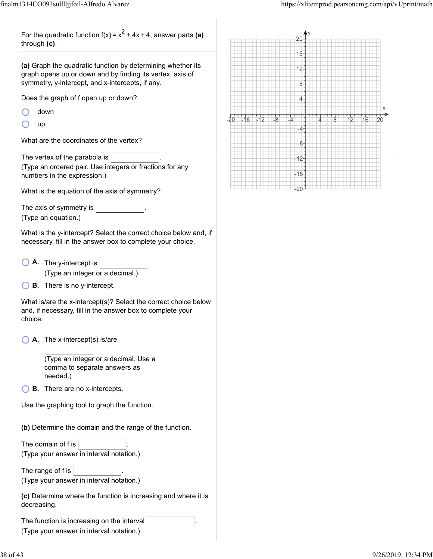For the quadratic function f(x) =  $x^2 + 4x + 4$ , answer parts **(a)** through **(c)**.

**(a)** Graph the quadratic function by determining whether its graph opens up or down and by finding its vertex, axis of symmetry, y-intercept, and x-intercepts, if any.

Does the graph of f open up or down?

- down
- up

What are the coordinates of the vertex?

The vertex of the parabola is

(Type an ordered pair. Use integers or fractions for any numbers in the expression.)

What is the equation of the axis of symmetry?

| The axis of symmetry is |  |
|-------------------------|--|
| (Type an equation.)     |  |

What is the y-intercept? Select the correct choice below and, if necessary, fill in the answer box to complete your choice.

- **A.** The y-intercept is . (Type an integer or a decimal.)
- **B.** There is no y-intercept.

What is/are the x-intercept(s)? Select the correct choice below and, if necessary, fill in the answer box to complete your choice.

**A.** The x-intercept(s) is/are

(Type an integer or a decimal. Use a comma to separate answers as needed.)

.

**B.** There are no x-intercepts.

Use the graphing tool to graph the function.

**(b)** Determine the domain and the range of the function.

The domain of f is  $|$ (Type your answer in interval notation.)

The range of f is  $|$ 

(Type your answer in interval notation.)

**(c)** Determine where the function is increasing and where it is decreasing.

The function is increasing on the interval . (Type your answer in interval notation.)

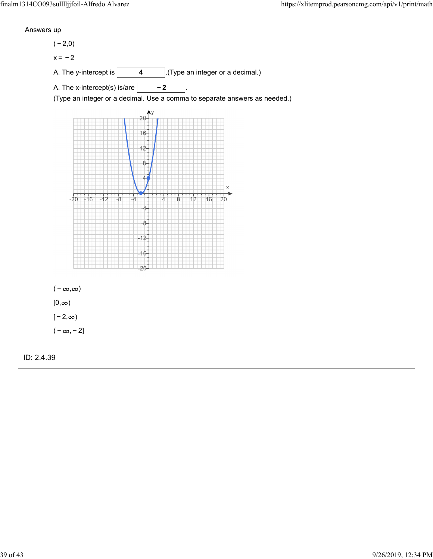Answers up

 $(-2,0)$ 

 $x = -2$ 

A. The y-intercept is  $\boxed{4}$  (Type an integer or a decimal.)

A. The x-intercept(s) is/are  $\vert$  **−2** 

(Type an integer or a decimal. Use a comma to separate answers as needed.)



| $(-\infty,\infty)$ |
|--------------------|
| $[0,\infty)$       |
| $[-2, \infty)$     |
| $(-\infty, -2]$    |

ID: 2.4.39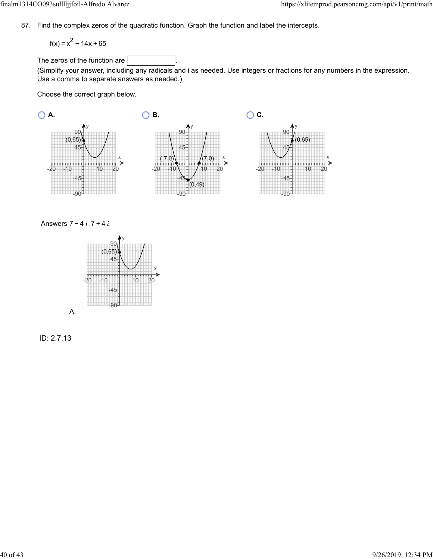87. Find the complex zeros of the quadratic function. Graph the function and label the intercepts.

 $f(x) = x^2 - 14x + 65$ 

The zeros of the function are

(Simplify your answer, including any radicals and i as needed. Use integers or fractions for any numbers in the expression. Use a comma to separate answers as needed.)

Choose the correct graph below.







ID: 2.7.13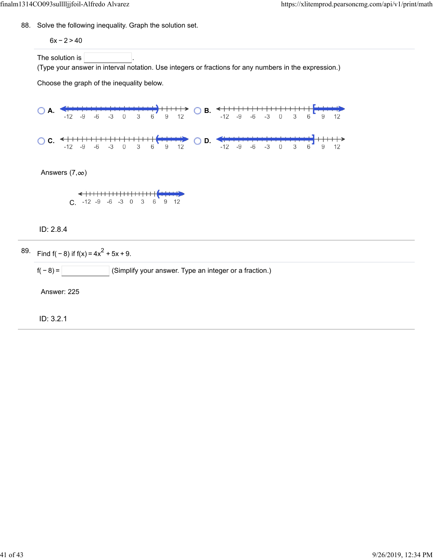88. Solve the following inequality. Graph the solution set.



ID: 3.2.1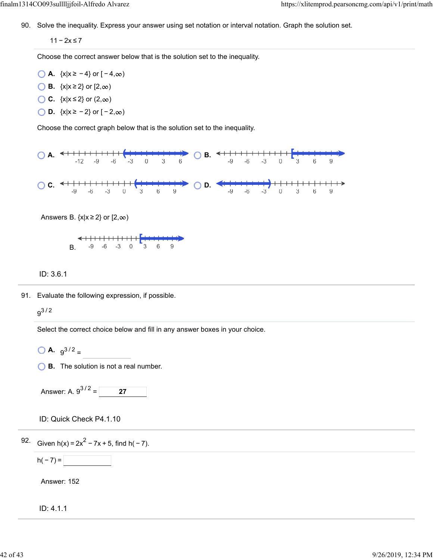90. Solve the inequality. Express your answer using set notation or interval notation. Graph the solution set.

11 − 2x ≤ 7

Choose the correct answer below that is the solution set to the inequality.

- $\bigcirc$  **A.** {x|x ≥ −4} or [−4, $\infty$ )
- **B.**  $\{x | x \ge 2\}$  or  $[2, \infty)$
- **C.**  $\{x | x \leq 2\}$  or  $(2, \infty)$
- **D.** { $x|x \ge -2$ } or  $[-2, \infty)$

Choose the correct graph below that is the solution set to the inequality.



Answers B.  $\{x | x \ge 2\}$  or  $[2, \infty)$ 



ID: 3.6.1

91. Evaluate the following expression, if possible.

 $9^{3/2}$ 

Select the correct choice below and fill in any answer boxes in your choice.

 $\bigcirc$  **A.**  $9^{3/2}$  =

**B.** The solution is not a real number.

Answer: A.  $9^{3/2} = \sqrt{27}$ 

- ID: Quick Check P4.1.10
- 92. Given h(x) =  $2x^2 7x + 5$ , find h( 7).



Answer: 152

ID: 4.1.1